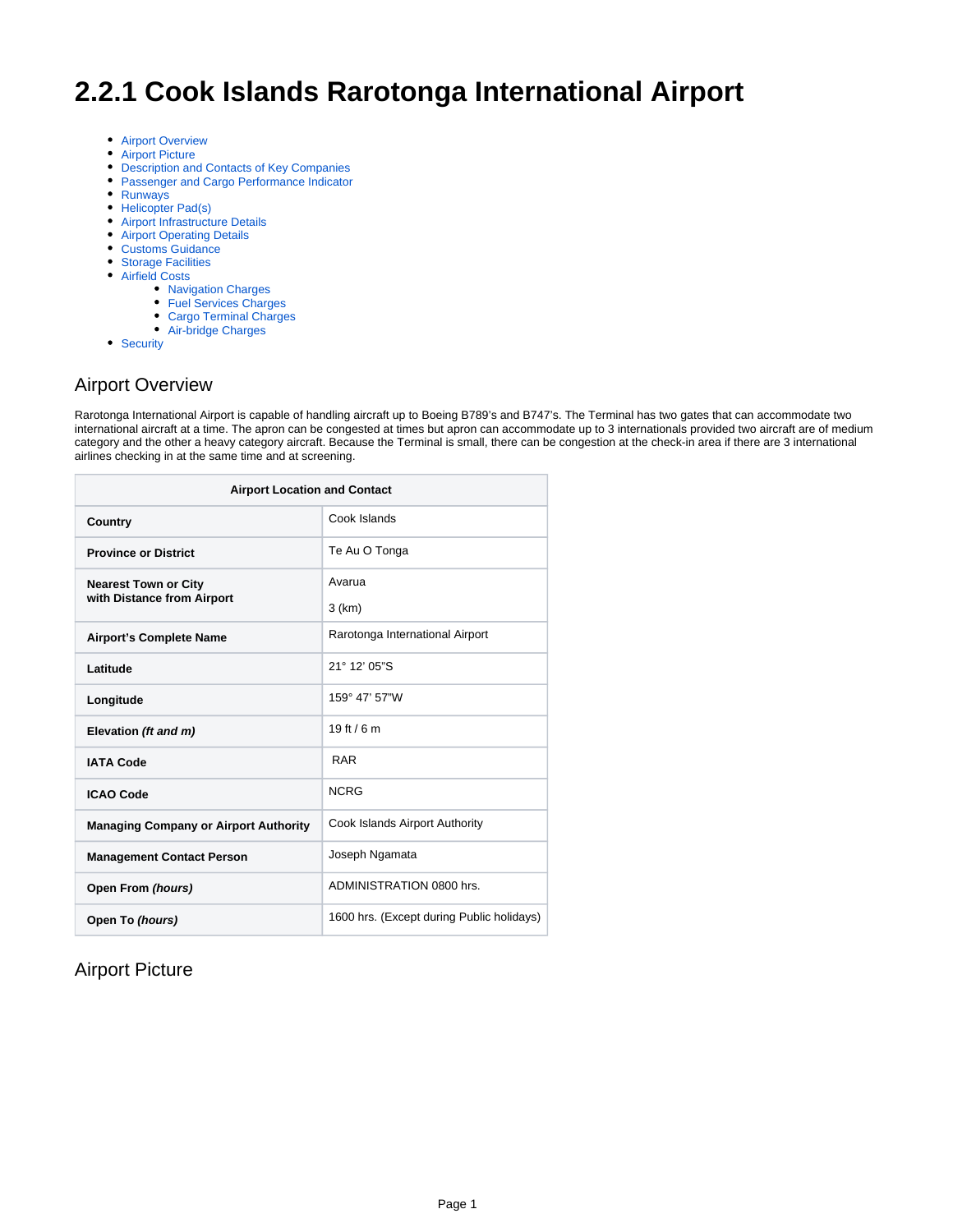# **2.2.1 Cook Islands Rarotonga International Airport**

- [Airport Overview](#page-0-0)
- [Airport Picture](#page-0-1)
- [Description and Contacts of Key Companies](#page-1-0)
- [Passenger and Cargo Performance Indicator](#page-1-1)
- [Runways](#page-2-0)
- [Helicopter Pad\(s\)](#page-2-1)
- [Airport Infrastructure Details](#page-2-2)
- [Airport Operating Details](#page-3-0)
- [Customs Guidance](#page-3-1)
- [Storage Facilities](#page-3-2)
- [Airfield Costs](#page-3-3)
	- [Navigation Charges](#page-3-4)
	- [Fuel Services Charges](#page-4-0)
	- [Cargo Terminal Charges](#page-4-1)
	- [Air-bridge Charges](#page-5-0)
- [Security](#page-6-0)

#### <span id="page-0-0"></span>Airport Overview

Rarotonga International Airport is capable of handling aircraft up to Boeing B789's and B747's. The Terminal has two gates that can accommodate two international aircraft at a time. The apron can be congested at times but apron can accommodate up to 3 internationals provided two aircraft are of medium category and the other a heavy category aircraft. Because the Terminal is small, there can be congestion at the check-in area if there are 3 international airlines checking in at the same time and at screening.

| <b>Airport Location and Contact</b>          |                                           |  |  |
|----------------------------------------------|-------------------------------------------|--|--|
| Country                                      | Cook Islands                              |  |  |
| <b>Province or District</b>                  | Te Au O Tonga                             |  |  |
| <b>Nearest Town or City</b>                  | Avarua                                    |  |  |
| with Distance from Airport                   | 3 (km)                                    |  |  |
| <b>Airport's Complete Name</b>               | Rarotonga International Airport           |  |  |
| Latitude                                     | $21^{\circ}$ 12' 05"S                     |  |  |
| Longitude                                    | 159° 47' 57"W                             |  |  |
| Elevation (ft and m)                         | 19 ft / 6 m                               |  |  |
| <b>IATA Code</b>                             | <b>RAR</b>                                |  |  |
| <b>ICAO Code</b>                             | <b>NCRG</b>                               |  |  |
| <b>Managing Company or Airport Authority</b> | Cook Islands Airport Authority            |  |  |
| <b>Management Contact Person</b>             | Joseph Ngamata                            |  |  |
| Open From (hours)                            | ADMINISTRATION 0800 hrs.                  |  |  |
| Open To (hours)                              | 1600 hrs. (Except during Public holidays) |  |  |

#### <span id="page-0-1"></span>Airport Picture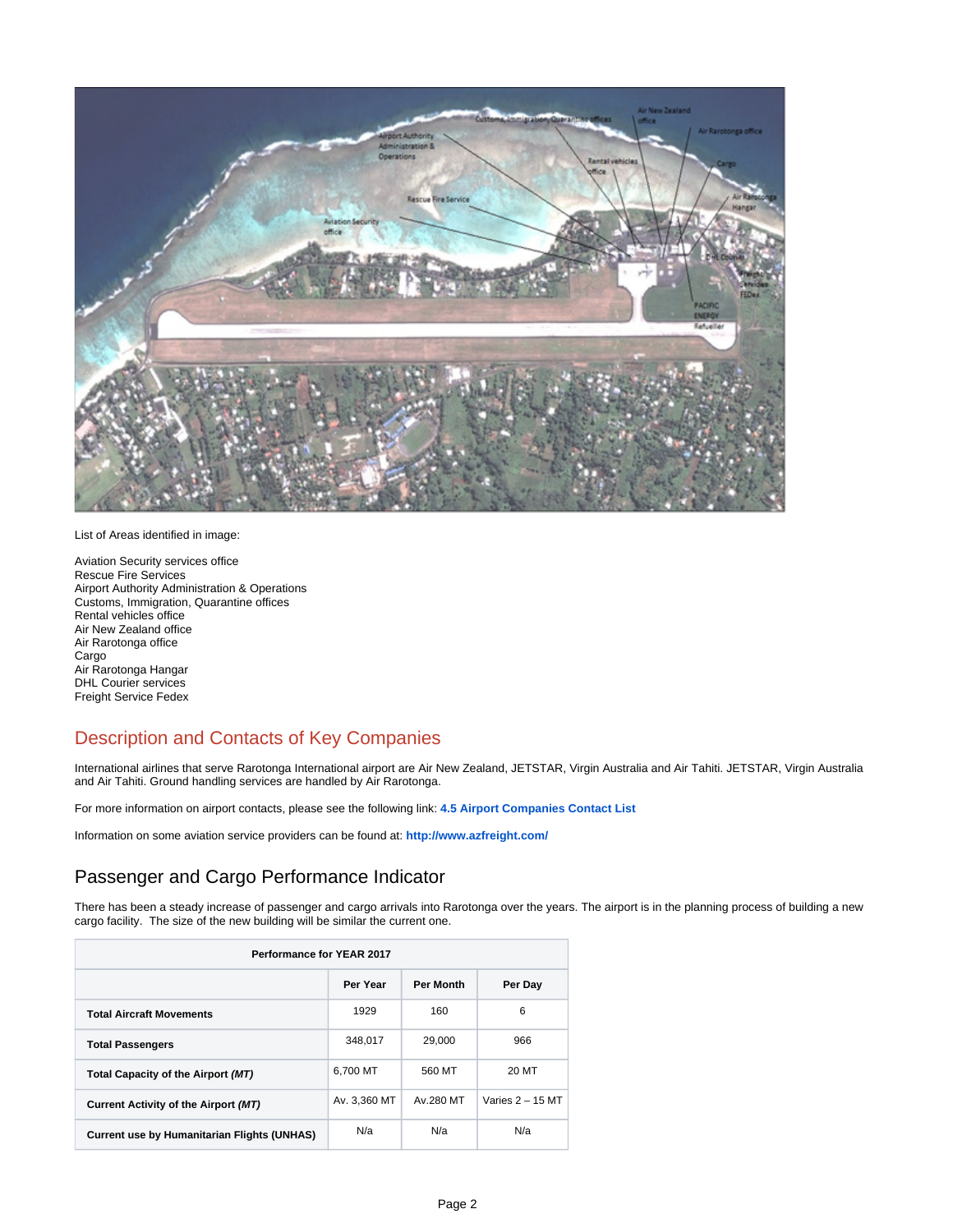

List of Areas identified in image:

Aviation Security services office Rescue Fire Services Airport Authority Administration & Operations Customs, Immigration, Quarantine offices Rental vehicles office Air New Zealand office Air Rarotonga office Cargo Air Rarotonga Hangar DHL Courier services Freight Service Fedex

# <span id="page-1-0"></span>Description and Contacts of Key Companies

International airlines that serve Rarotonga International airport are Air New Zealand, JETSTAR, Virgin Australia and Air Tahiti. JETSTAR, Virgin Australia and Air Tahiti. Ground handling services are handled by Air Rarotonga.

For more information on airport contacts, please see the following link: **[4.5 Airport Companies Contact List](https://dlca.logcluster.org/display/DLCA/4.5+Cook+Islands+Airport+Companies+Contact+List)**

Information on some aviation service providers can be found at: **<http://www.azfreight.com/>**

## <span id="page-1-1"></span>Passenger and Cargo Performance Indicator

There has been a steady increase of passenger and cargo arrivals into Rarotonga over the years. The airport is in the planning process of building a new cargo facility. The size of the new building will be similar the current one.

| <b>Performance for YEAR 2017</b>                   |              |           |                    |  |  |
|----------------------------------------------------|--------------|-----------|--------------------|--|--|
| Per Year<br>Per Month<br>Per Day                   |              |           |                    |  |  |
| <b>Total Aircraft Movements</b>                    | 1929         | 160       | 6                  |  |  |
| <b>Total Passengers</b>                            | 348,017      | 29.000    | 966                |  |  |
| Total Capacity of the Airport (MT)                 | 6.700 MT     | 560 MT    | 20 MT              |  |  |
| Current Activity of the Airport (MT)               | Av. 3.360 MT | Av.280 MT | Varies $2 - 15$ MT |  |  |
| <b>Current use by Humanitarian Flights (UNHAS)</b> | N/a          | N/a       | N/a                |  |  |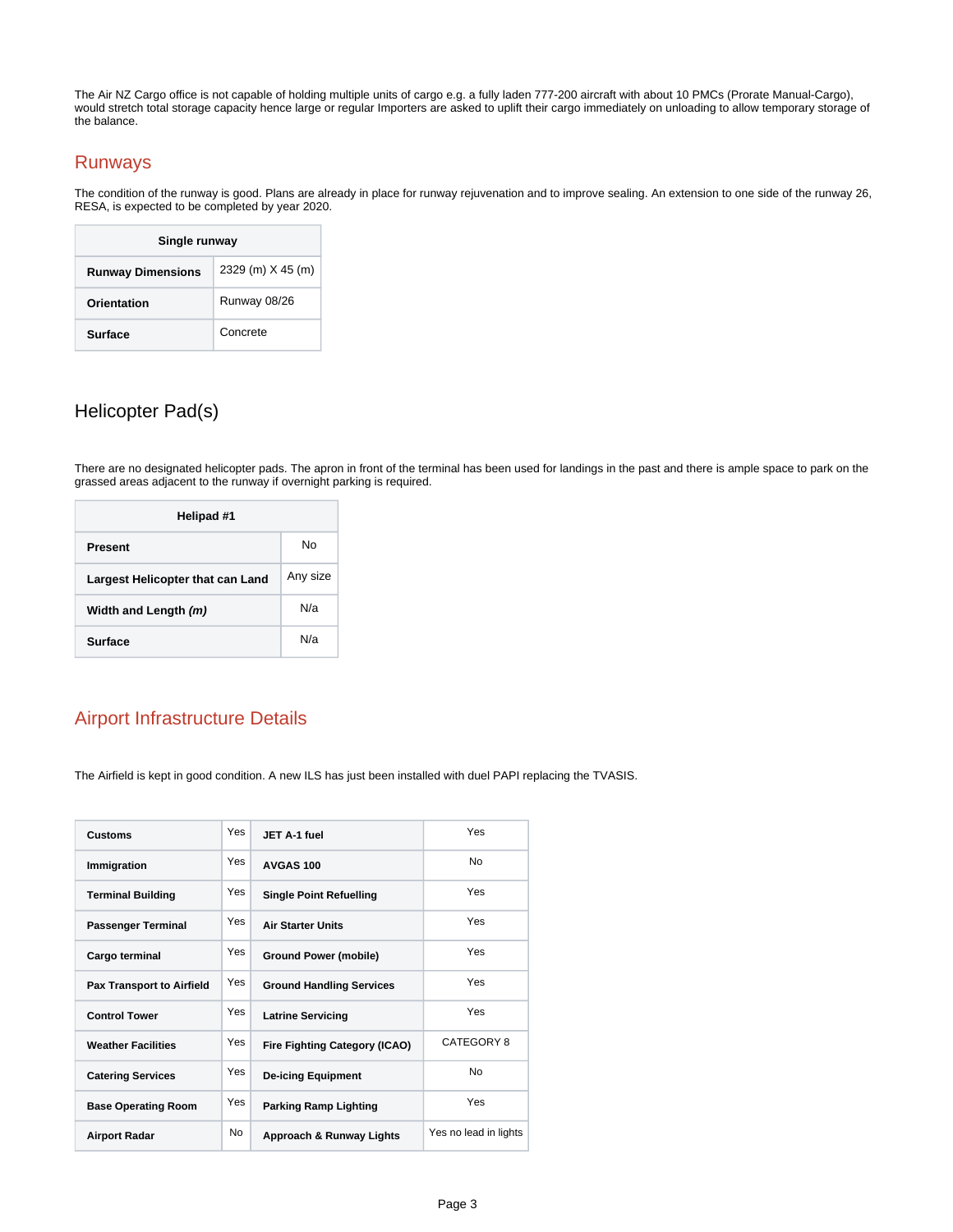The Air NZ Cargo office is not capable of holding multiple units of cargo e.g. a fully laden 777-200 aircraft with about 10 PMCs (Prorate Manual-Cargo), would stretch total storage capacity hence large or regular Importers are asked to uplift their cargo immediately on unloading to allow temporary storage of the balance.

#### <span id="page-2-0"></span>Runways

The condition of the runway is good. Plans are already in place for runway rejuvenation and to improve sealing. An extension to one side of the runway 26, RESA, is expected to be completed by year 2020.

| Single runway                                 |              |  |  |
|-----------------------------------------------|--------------|--|--|
| 2329 (m) X 45 (m)<br><b>Runway Dimensions</b> |              |  |  |
| Orientation                                   | Runway 08/26 |  |  |
| Surface                                       | Concrete     |  |  |

# <span id="page-2-1"></span>Helicopter Pad(s)

There are no designated helicopter pads. The apron in front of the terminal has been used for landings in the past and there is ample space to park on the grassed areas adjacent to the runway if overnight parking is required.

| Helipad #1                       |          |  |  |
|----------------------------------|----------|--|--|
| <b>Present</b>                   | N٥       |  |  |
| Largest Helicopter that can Land | Any size |  |  |
| Width and Length (m)             | N/a      |  |  |
| <b>Surface</b>                   | N/a      |  |  |

## <span id="page-2-2"></span>Airport Infrastructure Details

The Airfield is kept in good condition. A new ILS has just been installed with duel PAPI replacing the TVASIS.

| <b>Customs</b>                   | Yes       | JET A-1 fuel                         | Yes                   |
|----------------------------------|-----------|--------------------------------------|-----------------------|
| Immigration                      | Yes       | AVGAS 100                            | No                    |
| <b>Terminal Building</b>         | Yes       | <b>Single Point Refuelling</b>       | Yes                   |
| <b>Passenger Terminal</b>        | Yes       | <b>Air Starter Units</b>             | Yes                   |
| Cargo terminal                   | Yes       | <b>Ground Power (mobile)</b>         | Yes                   |
| <b>Pax Transport to Airfield</b> | Yes       | <b>Ground Handling Services</b>      | Yes                   |
| <b>Control Tower</b>             | Yes       | <b>Latrine Servicing</b>             | Yes                   |
| <b>Weather Facilities</b>        | Yes       | <b>Fire Fighting Category (ICAO)</b> | CATEGORY 8            |
| <b>Catering Services</b>         | Yes       | <b>De-icing Equipment</b>            | <b>No</b>             |
| <b>Base Operating Room</b>       | Yes       | <b>Parking Ramp Lighting</b>         | Yes                   |
| <b>Airport Radar</b>             | <b>No</b> | Approach & Runway Lights             | Yes no lead in lights |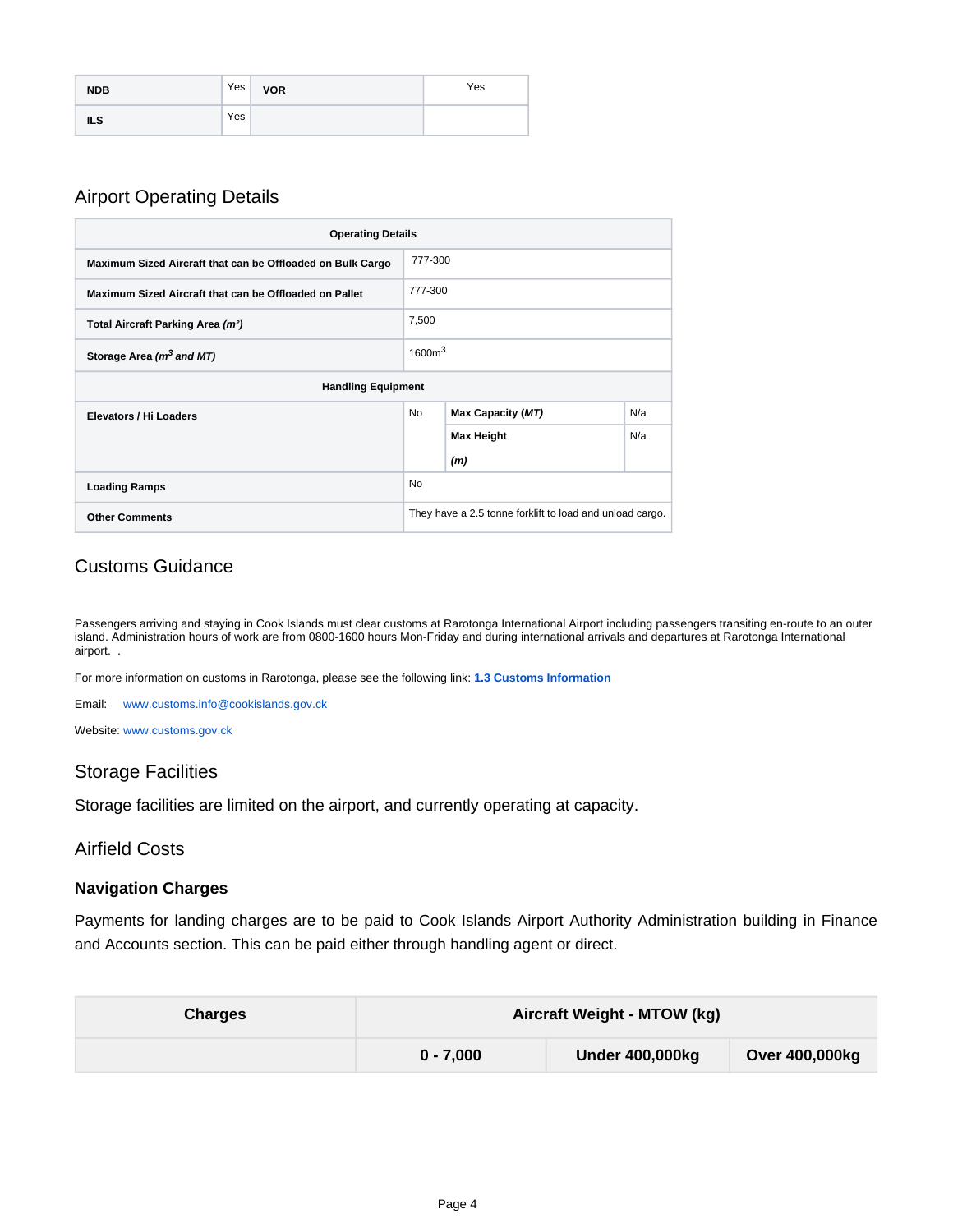| <b>NDB</b> | Yes | <b>VOR</b> | Yes |
|------------|-----|------------|-----|
| <b>ILS</b> | Yes |            |     |

## <span id="page-3-0"></span>Airport Operating Details

| <b>Operating Details</b>                                              |                    |                                                          |     |
|-----------------------------------------------------------------------|--------------------|----------------------------------------------------------|-----|
| 777-300<br>Maximum Sized Aircraft that can be Offloaded on Bulk Cargo |                    |                                                          |     |
| 777-300<br>Maximum Sized Aircraft that can be Offloaded on Pallet     |                    |                                                          |     |
| 7,500<br>Total Aircraft Parking Area (m <sup>2</sup> )                |                    |                                                          |     |
| Storage Area (m <sup>3</sup> and MT)                                  | 1600m <sup>3</sup> |                                                          |     |
| <b>Handling Equipment</b>                                             |                    |                                                          |     |
| Elevators / Hi Loaders                                                | <b>No</b>          | Max Capacity (MT)                                        | N/a |
|                                                                       |                    | <b>Max Height</b>                                        | N/a |
|                                                                       |                    | (m)                                                      |     |
| <b>No</b><br><b>Loading Ramps</b>                                     |                    |                                                          |     |
| <b>Other Comments</b>                                                 |                    | They have a 2.5 tonne forklift to load and unload cargo. |     |

## <span id="page-3-1"></span>Customs Guidance

Passengers arriving and staying in Cook Islands must clear customs at Rarotonga International Airport including passengers transiting en-route to an outer island. Administration hours of work are from 0800-1600 hours Mon-Friday and during international arrivals and departures at Rarotonga International airport. .

For more information on customs in Rarotonga, please see the following link: **[1.3 Customs Information](https://dlca.logcluster.org/display/DLCA/1.3+Cook+Islands+Customs+Information)** 

Email: [www.customs.info@cookislands.gov.ck](http://www.customs.info@cookislands.gov.ck/)

Website: [www.customs.gov.ck](http://www.customs.gov.ck)

#### <span id="page-3-2"></span>Storage Facilities

Storage facilities are limited on the airport, and currently operating at capacity.

#### <span id="page-3-3"></span>Airfield Costs

#### <span id="page-3-4"></span>**Navigation Charges**

Payments for landing charges are to be paid to Cook Islands Airport Authority Administration building in Finance and Accounts section. This can be paid either through handling agent or direct.

| <b>Charges</b> | Aircraft Weight - MTOW (kg) |                        |                |
|----------------|-----------------------------|------------------------|----------------|
|                | $0 - 7.000$                 | <b>Under 400,000kg</b> | Over 400,000kg |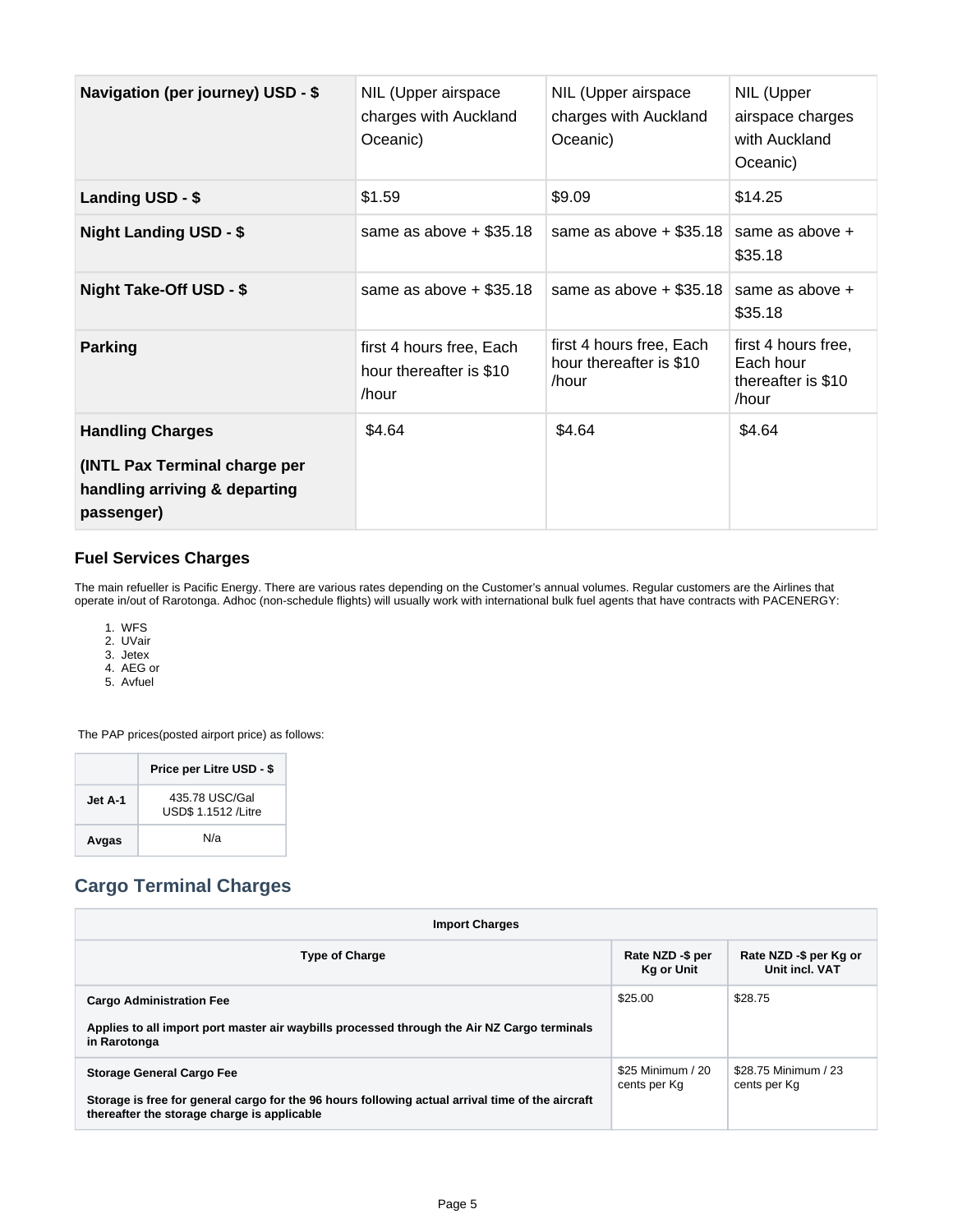| <b>Navigation (per journey) USD - \$</b>                                     | NIL (Upper airspace<br>charges with Auckland<br>Oceanic)     | NIL (Upper airspace<br>charges with Auckland<br>Oceanic)     | NIL (Upper<br>airspace charges<br>with Auckland<br>Oceanic)     |
|------------------------------------------------------------------------------|--------------------------------------------------------------|--------------------------------------------------------------|-----------------------------------------------------------------|
| Landing USD - \$                                                             | \$1.59                                                       | \$9.09                                                       | \$14.25                                                         |
| <b>Night Landing USD - \$</b>                                                | same as above $+$ \$35.18                                    | same as above $+$ \$35.18                                    | same as above +<br>\$35.18                                      |
| Night Take-Off USD - \$                                                      | same as above $+$ \$35.18                                    | same as above $+$ \$35.18                                    | same as above +<br>\$35.18                                      |
| Parking                                                                      | first 4 hours free, Each<br>hour thereafter is \$10<br>/hour | first 4 hours free, Each<br>hour thereafter is \$10<br>/hour | first 4 hours free,<br>Each hour<br>thereafter is \$10<br>/hour |
| <b>Handling Charges</b>                                                      | \$4.64                                                       | \$4.64                                                       | \$4.64                                                          |
| (INTL Pax Terminal charge per<br>handling arriving & departing<br>passenger) |                                                              |                                                              |                                                                 |

#### <span id="page-4-0"></span>**Fuel Services Charges**

The main refueller is Pacific Energy. There are various rates depending on the Customer's annual volumes. Regular customers are the Airlines that operate in/out of Rarotonga. Adhoc (non-schedule flights) will usually work with international bulk fuel agents that have contracts with PACENERGY:

- 1. WFS
- 2. UVair
- 3. Jetex
- 4. AEG or
- 5. Avfuel

The PAP prices(posted airport price) as follows:

|         | Price per Litre USD - \$                     |
|---------|----------------------------------------------|
| Jet A-1 | 435,78 USC/Gal<br><b>USD\$ 1.1512 /Litre</b> |
| Avgas   | N/a                                          |

# <span id="page-4-1"></span>**Cargo Terminal Charges**

| <b>Import Charges</b>                                                                                                                           |                                       |                                          |  |  |
|-------------------------------------------------------------------------------------------------------------------------------------------------|---------------------------------------|------------------------------------------|--|--|
| <b>Type of Charge</b>                                                                                                                           | Rate NZD -\$ per<br><b>Kg or Unit</b> | Rate NZD -\$ per Kg or<br>Unit incl. VAT |  |  |
| <b>Cargo Administration Fee</b>                                                                                                                 | \$25.00                               | \$28.75                                  |  |  |
| Applies to all import port master air waybills processed through the Air NZ Cargo terminals<br>in Rarotonga                                     |                                       |                                          |  |  |
| <b>Storage General Cargo Fee</b>                                                                                                                | \$25 Minimum / 20<br>cents per Kg     | \$28.75 Minimum / 23<br>cents per Kg     |  |  |
| Storage is free for general cargo for the 96 hours following actual arrival time of the aircraft<br>thereafter the storage charge is applicable |                                       |                                          |  |  |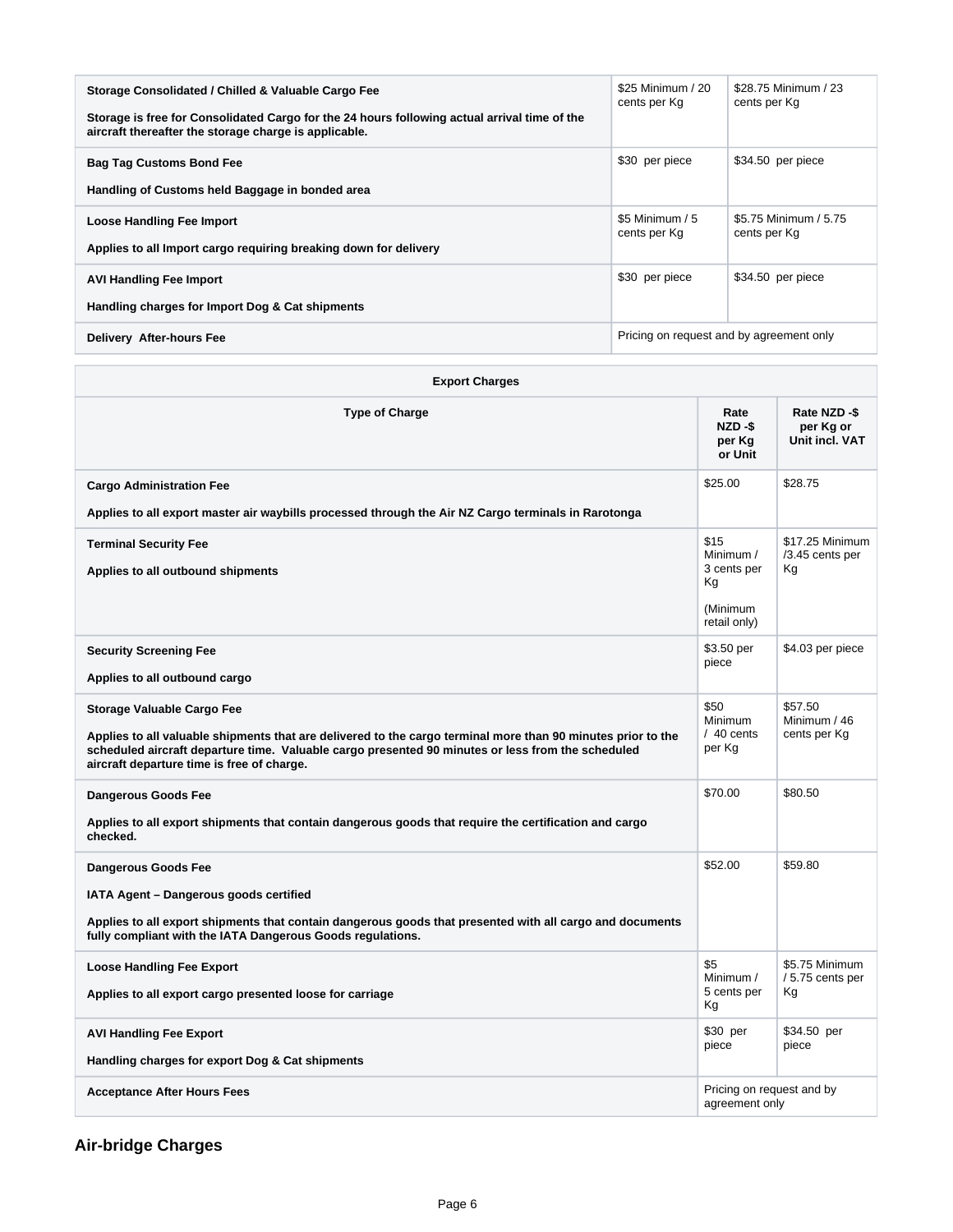| Storage Consolidated / Chilled & Valuable Cargo Fee<br>Storage is free for Consolidated Cargo for the 24 hours following actual arrival time of the<br>aircraft thereafter the storage charge is applicable. | \$25 Minimum / 20<br>cents per Kg        | \$28.75 Minimum / 23<br>cents per Kg  |
|--------------------------------------------------------------------------------------------------------------------------------------------------------------------------------------------------------------|------------------------------------------|---------------------------------------|
| <b>Bag Tag Customs Bond Fee</b><br>Handling of Customs held Baggage in bonded area                                                                                                                           | \$30 per piece                           | \$34.50 per piece                     |
| <b>Loose Handling Fee Import</b><br>Applies to all Import cargo requiring breaking down for delivery                                                                                                         | \$5 Minimum / 5<br>cents per Kg          | \$5.75 Minimum / 5.75<br>cents per Kg |
| <b>AVI Handling Fee Import</b><br>Handling charges for Import Dog & Cat shipments                                                                                                                            | \$30 per piece                           | \$34.50 per piece                     |
| Delivery After-hours Fee                                                                                                                                                                                     | Pricing on request and by agreement only |                                       |

| <b>Export Charges</b>                                                                                                                                                                                                                                                                                |                                                    |                                            |
|------------------------------------------------------------------------------------------------------------------------------------------------------------------------------------------------------------------------------------------------------------------------------------------------------|----------------------------------------------------|--------------------------------------------|
| <b>Type of Charge</b>                                                                                                                                                                                                                                                                                | Rate<br>NZD-\$<br>per Kg<br>or Unit                | Rate NZD-\$<br>per Kg or<br>Unit incl. VAT |
| <b>Cargo Administration Fee</b>                                                                                                                                                                                                                                                                      | \$25.00                                            | \$28.75                                    |
| Applies to all export master air waybills processed through the Air NZ Cargo terminals in Rarotonga                                                                                                                                                                                                  |                                                    |                                            |
| <b>Terminal Security Fee</b><br>Applies to all outbound shipments                                                                                                                                                                                                                                    | \$15<br>Minimum /<br>3 cents per<br>Кg<br>(Minimum | \$17.25 Minimum<br>/3.45 cents per<br>Kg   |
|                                                                                                                                                                                                                                                                                                      | retail only)                                       |                                            |
| <b>Security Screening Fee</b><br>Applies to all outbound cargo                                                                                                                                                                                                                                       | \$3.50 per<br>piece                                | \$4.03 per piece                           |
| <b>Storage Valuable Cargo Fee</b><br>Applies to all valuable shipments that are delivered to the cargo terminal more than 90 minutes prior to the<br>scheduled aircraft departure time. Valuable cargo presented 90 minutes or less from the scheduled<br>aircraft departure time is free of charge. | \$50<br><b>Minimum</b><br>$/40$ cents<br>per Kg    | \$57.50<br>Minimum / 46<br>cents per Kg    |
| <b>Dangerous Goods Fee</b><br>Applies to all export shipments that contain dangerous goods that require the certification and cargo<br>checked.                                                                                                                                                      | \$70.00                                            | \$80.50                                    |
| <b>Dangerous Goods Fee</b><br>IATA Agent - Dangerous goods certified<br>Applies to all export shipments that contain dangerous goods that presented with all cargo and documents<br>fully compliant with the IATA Dangerous Goods regulations.                                                       | \$52.00                                            | \$59.80                                    |
| <b>Loose Handling Fee Export</b><br>Applies to all export cargo presented loose for carriage                                                                                                                                                                                                         | \$5<br>Minimum /<br>5 cents per<br>Кg              | \$5.75 Minimum<br>/5.75 cents per<br>Kg    |
| <b>AVI Handling Fee Export</b><br>Handling charges for export Dog & Cat shipments                                                                                                                                                                                                                    | $$30$ per<br>piece                                 | \$34.50 per<br>piece                       |
| <b>Acceptance After Hours Fees</b>                                                                                                                                                                                                                                                                   | Pricing on request and by<br>agreement only        |                                            |

<span id="page-5-0"></span>**Air-bridge Charges**